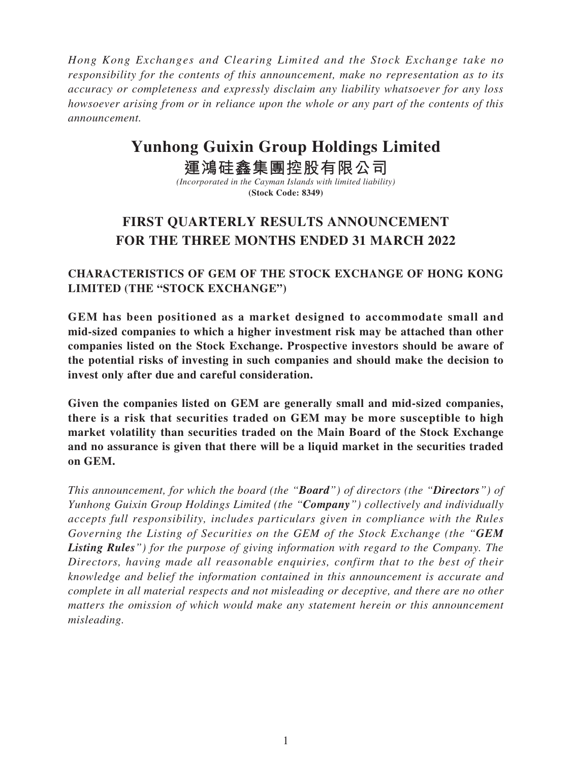*Hong Kong Exchanges and Clearing Limited and the Stock Exchange take no responsibility for the contents of this announcement, make no representation as to its accuracy or completeness and expressly disclaim any liability whatsoever for any loss howsoever arising from or in reliance upon the whole or any part of the contents of this announcement.*

# **Yunhong Guixin Group Holdings Limited**

**運鴻硅鑫集團控股有限公司**

*(Incorporated in the Cayman Islands with limited liability)* **(Stock Code: 8349)**

## **FIRST QUARTERLY RESULTS ANNOUNCEMENT FOR THE THREE MONTHS ENDED 31 MARCH 2022**

### **CHARACTERISTICS OF GEM OF THE STOCK EXCHANGE OF HONG KONG LIMITED (THE "STOCK EXCHANGE")**

**GEM has been positioned as a market designed to accommodate small and mid-sized companies to which a higher investment risk may be attached than other companies listed on the Stock Exchange. Prospective investors should be aware of the potential risks of investing in such companies and should make the decision to invest only after due and careful consideration.**

**Given the companies listed on GEM are generally small and mid-sized companies, there is a risk that securities traded on GEM may be more susceptible to high market volatility than securities traded on the Main Board of the Stock Exchange and no assurance is given that there will be a liquid market in the securities traded on GEM.**

*This announcement, for which the board (the "Board") of directors (the "Directors") of Yunhong Guixin Group Holdings Limited (the "Company") collectively and individually accepts full responsibility, includes particulars given in compliance with the Rules Governing the Listing of Securities on the GEM of the Stock Exchange (the "GEM Listing Rules") for the purpose of giving information with regard to the Company. The Directors, having made all reasonable enquiries, confirm that to the best of their knowledge and belief the information contained in this announcement is accurate and complete in all material respects and not misleading or deceptive, and there are no other matters the omission of which would make any statement herein or this announcement misleading.*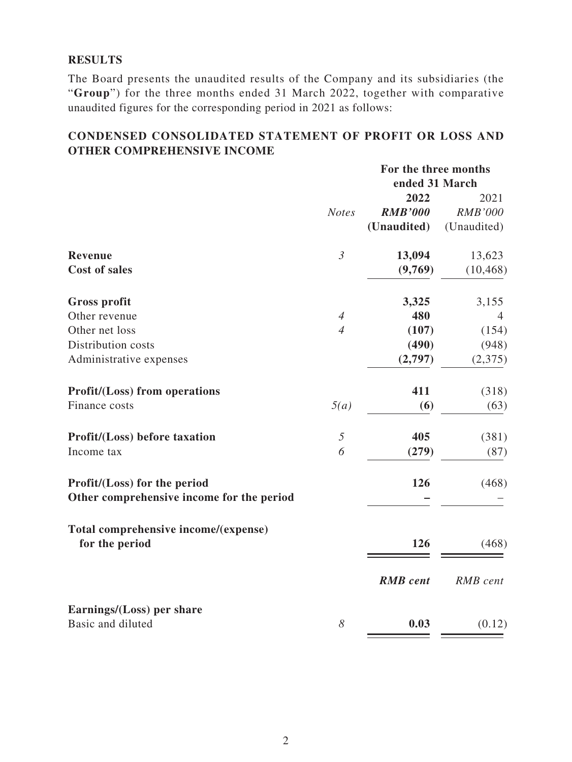#### **RESULTS**

The Board presents the unaudited results of the Company and its subsidiaries (the "**Group**") for the three months ended 31 March 2022, together with comparative unaudited figures for the corresponding period in 2021 as follows:

### **CONDENSED CONSOLIDATED STATEMENT OF PROFIT OR LOSS AND OTHER COMPREHENSIVE INCOME**

|                                           | For the three months |                 |                |  |
|-------------------------------------------|----------------------|-----------------|----------------|--|
|                                           |                      | ended 31 March  |                |  |
|                                           |                      | 2022            | 2021           |  |
|                                           | <b>Notes</b>         | <b>RMB'000</b>  | <b>RMB'000</b> |  |
|                                           |                      | (Unaudited)     | (Unaudited)    |  |
| <b>Revenue</b>                            | $\mathfrak{Z}$       | 13,094          | 13,623         |  |
| <b>Cost of sales</b>                      |                      | (9,769)         | (10, 468)      |  |
| <b>Gross profit</b>                       |                      | 3,325           | 3,155          |  |
| Other revenue                             | $\overline{4}$       | 480             | $\overline{4}$ |  |
| Other net loss                            | $\overline{4}$       | (107)           | (154)          |  |
| Distribution costs                        |                      | (490)           | (948)          |  |
| Administrative expenses                   |                      | (2,797)         | (2,375)        |  |
| <b>Profit/(Loss)</b> from operations      |                      | 411             | (318)          |  |
| Finance costs                             | 5(a)                 | (6)             | (63)           |  |
| Profit/(Loss) before taxation             | $\mathfrak{H}$       | 405             | (381)          |  |
| Income tax                                | 6                    | (279)           | (87)           |  |
| Profit/(Loss) for the period              |                      | 126             | (468)          |  |
| Other comprehensive income for the period |                      |                 |                |  |
| Total comprehensive income/(expense)      |                      |                 |                |  |
| for the period                            |                      | 126             | (468)          |  |
|                                           |                      | <b>RMB</b> cent | RMB cent       |  |
| Earnings/(Loss) per share                 |                      |                 |                |  |
| Basic and diluted                         | 8                    | 0.03            | (0.12)         |  |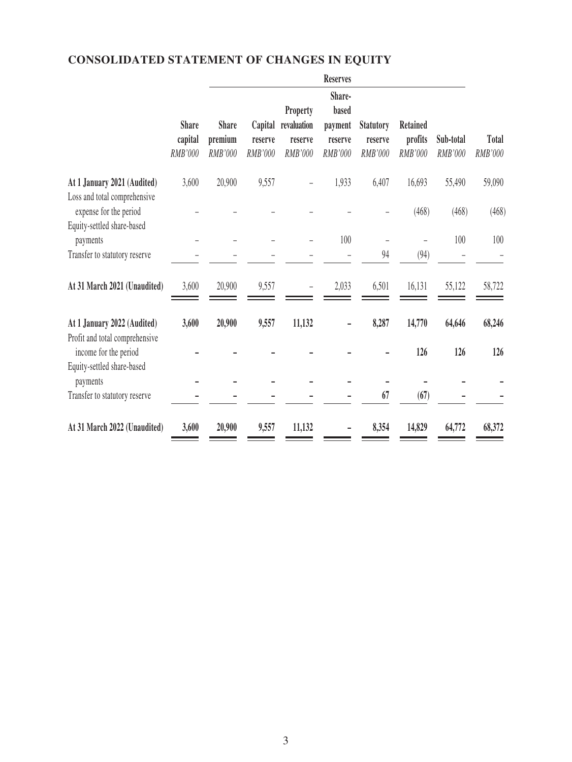## **CONSOLIDATED STATEMENT OF CHANGES IN EQUITY**

|                                                                  |                                           |                                    |                                      |                                                             | <b>Reserves</b>                                         |                                               |                                              |                             |                  |
|------------------------------------------------------------------|-------------------------------------------|------------------------------------|--------------------------------------|-------------------------------------------------------------|---------------------------------------------------------|-----------------------------------------------|----------------------------------------------|-----------------------------|------------------|
|                                                                  | <b>Share</b><br>capital<br><b>RMB'000</b> | <b>Share</b><br>premium<br>RMB'000 | Capital<br>reserve<br><b>RMB'000</b> | <b>Property</b><br>revaluation<br>reserve<br><b>RMB'000</b> | Share-<br>based<br>payment<br>reserve<br><b>RMB'000</b> | <b>Statutory</b><br>reserve<br><b>RMB'000</b> | <b>Retained</b><br>profits<br><b>RMB'000</b> | Sub-total<br><b>RMB'000</b> | Total<br>RMB'000 |
| At 1 January 2021 (Audited)<br>Loss and total comprehensive      | 3,600                                     | 20,900                             | 9,557                                |                                                             | 1,933                                                   | 6,407                                         | 16,693                                       | 55,490                      | 59,090           |
| expense for the period<br>Equity-settled share-based<br>payments |                                           |                                    |                                      |                                                             | 100                                                     |                                               | (468)                                        | (468)<br>100                | (468)<br>100     |
| Transfer to statutory reserve                                    |                                           |                                    |                                      |                                                             |                                                         | 94                                            | (94)                                         |                             |                  |
| At 31 March 2021 (Unaudited)                                     | 3,600                                     | 20,900                             | 9,557                                |                                                             | 2,033                                                   | 6,501                                         | 16,131                                       | 55,122                      | 58,722           |
| At 1 January 2022 (Audited)<br>Profit and total comprehensive    | 3,600                                     | 20,900                             | 9,557                                | 11,132                                                      |                                                         | 8,287                                         | 14,770                                       | 64,646                      | 68,246           |
| income for the period<br>Equity-settled share-based              |                                           |                                    |                                      |                                                             |                                                         |                                               | 126                                          | 126                         | 126              |
| payments<br>Transfer to statutory reserve                        |                                           |                                    |                                      |                                                             |                                                         | 67                                            | (67)                                         |                             |                  |
| At 31 March 2022 (Unaudited)                                     | 3,600                                     | 20,900                             | 9,557                                | 11,132                                                      |                                                         | 8,354                                         | 14,829                                       | 64,772                      | 68,372           |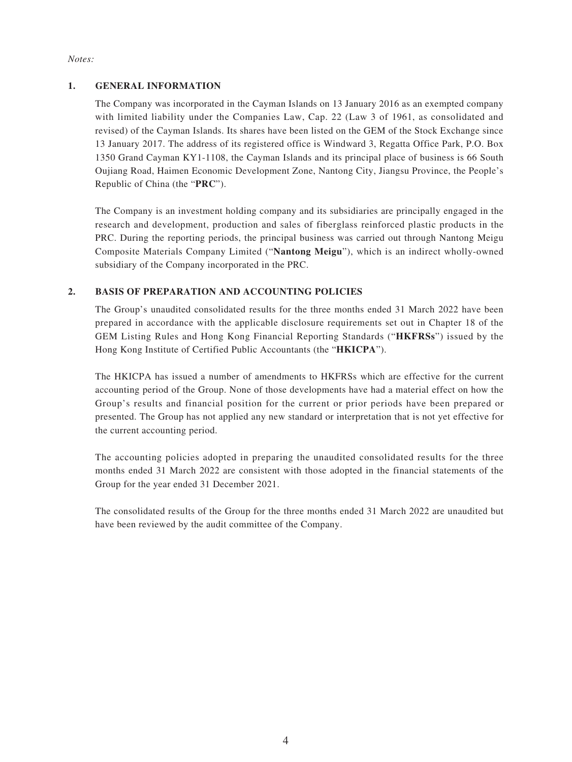#### *Notes:*

#### **1. GENERAL INFORMATION**

The Company was incorporated in the Cayman Islands on 13 January 2016 as an exempted company with limited liability under the Companies Law, Cap. 22 (Law 3 of 1961, as consolidated and revised) of the Cayman Islands. Its shares have been listed on the GEM of the Stock Exchange since 13 January 2017. The address of its registered office is Windward 3, Regatta Office Park, P.O. Box 1350 Grand Cayman KY1-1108, the Cayman Islands and its principal place of business is 66 South Oujiang Road, Haimen Economic Development Zone, Nantong City, Jiangsu Province, the People's Republic of China (the "**PRC**").

The Company is an investment holding company and its subsidiaries are principally engaged in the research and development, production and sales of fiberglass reinforced plastic products in the PRC. During the reporting periods, the principal business was carried out through Nantong Meigu Composite Materials Company Limited ("**Nantong Meigu**"), which is an indirect wholly-owned subsidiary of the Company incorporated in the PRC.

#### **2. BASIS OF PREPARATION AND ACCOUNTING POLICIES**

The Group's unaudited consolidated results for the three months ended 31 March 2022 have been prepared in accordance with the applicable disclosure requirements set out in Chapter 18 of the GEM Listing Rules and Hong Kong Financial Reporting Standards ("**HKFRSs**") issued by the Hong Kong Institute of Certified Public Accountants (the "**HKICPA**").

The HKICPA has issued a number of amendments to HKFRSs which are effective for the current accounting period of the Group. None of those developments have had a material effect on how the Group's results and financial position for the current or prior periods have been prepared or presented. The Group has not applied any new standard or interpretation that is not yet effective for the current accounting period.

The accounting policies adopted in preparing the unaudited consolidated results for the three months ended 31 March 2022 are consistent with those adopted in the financial statements of the Group for the year ended 31 December 2021.

The consolidated results of the Group for the three months ended 31 March 2022 are unaudited but have been reviewed by the audit committee of the Company.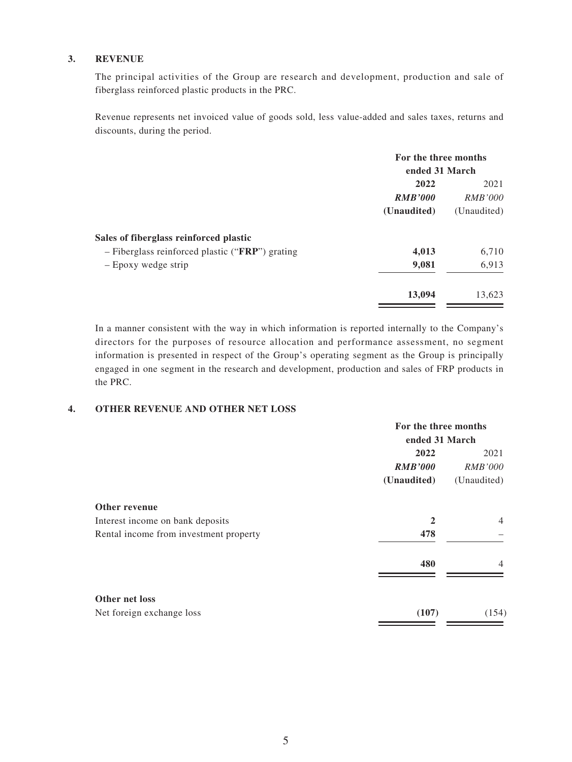#### **3. REVENUE**

The principal activities of the Group are research and development, production and sale of fiberglass reinforced plastic products in the PRC.

Revenue represents net invoiced value of goods sold, less value-added and sales taxes, returns and discounts, during the period.

|                                                 | For the three months |                |  |
|-------------------------------------------------|----------------------|----------------|--|
|                                                 | ended 31 March       |                |  |
|                                                 | 2022                 | 2021           |  |
|                                                 | <b>RMB'000</b>       | <i>RMB'000</i> |  |
|                                                 | (Unaudited)          | (Unaudited)    |  |
| Sales of fiberglass reinforced plastic          |                      |                |  |
| - Fiberglass reinforced plastic ("FRP") grating | 4,013                | 6,710          |  |
| - Epoxy wedge strip                             | 9,081                | 6,913          |  |
|                                                 | 13,094               | 13,623         |  |

In a manner consistent with the way in which information is reported internally to the Company's directors for the purposes of resource allocation and performance assessment, no segment information is presented in respect of the Group's operating segment as the Group is principally engaged in one segment in the research and development, production and sales of FRP products in the PRC.

#### **4. OTHER REVENUE AND OTHER NET LOSS**

|                                             | For the three months |                |  |
|---------------------------------------------|----------------------|----------------|--|
|                                             | ended 31 March       |                |  |
|                                             | 2022                 | 2021           |  |
|                                             | <b>RMB'000</b>       | <i>RMB'000</i> |  |
|                                             | (Unaudited)          | (Unaudited)    |  |
| Other revenue                               |                      |                |  |
| Interest income on bank deposits            | $\overline{2}$       | $\overline{4}$ |  |
| Rental income from investment property      | 478                  |                |  |
|                                             | 480                  | 4              |  |
| Other net loss<br>Net foreign exchange loss | (107)                | (154)          |  |
|                                             |                      |                |  |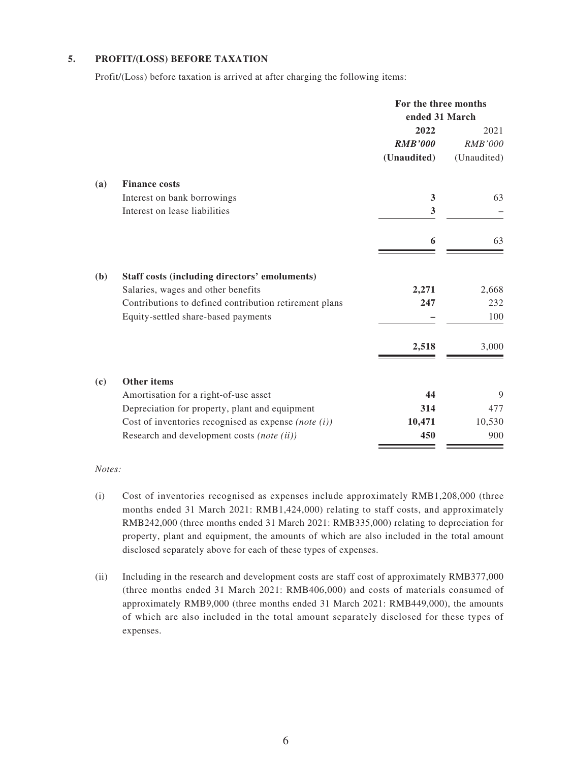#### **5. PROFIT/(LOSS) BEFORE TAXATION**

Profit/(Loss) before taxation is arrived at after charging the following items:

|     |                                                         | For the three months |                |
|-----|---------------------------------------------------------|----------------------|----------------|
|     |                                                         | ended 31 March       |                |
|     |                                                         | 2022                 | 2021           |
|     |                                                         | <b>RMB'000</b>       | <b>RMB'000</b> |
|     |                                                         | (Unaudited)          | (Unaudited)    |
| (a) | <b>Finance costs</b>                                    |                      |                |
|     | Interest on bank borrowings                             | 3                    | 63             |
|     | Interest on lease liabilities                           | 3                    |                |
|     |                                                         | 6                    | 63             |
| (b) | Staff costs (including directors' emoluments)           |                      |                |
|     | Salaries, wages and other benefits                      | 2,271                | 2,668          |
|     | Contributions to defined contribution retirement plans  | 247                  | 232            |
|     | Equity-settled share-based payments                     |                      | 100            |
|     |                                                         | 2,518                | 3,000          |
| (c) | Other items                                             |                      |                |
|     | Amortisation for a right-of-use asset                   | 44                   | 9              |
|     | Depreciation for property, plant and equipment          | 314                  | 477            |
|     | Cost of inventories recognised as expense (note $(i)$ ) | 10,471               | 10,530         |
|     | Research and development costs (note (ii))              | 450                  | 900            |

*Notes:*

- (i) Cost of inventories recognised as expenses include approximately RMB1,208,000 (three months ended 31 March 2021: RMB1,424,000) relating to staff costs, and approximately RMB242,000 (three months ended 31 March 2021: RMB335,000) relating to depreciation for property, plant and equipment, the amounts of which are also included in the total amount disclosed separately above for each of these types of expenses.
- (ii) Including in the research and development costs are staff cost of approximately RMB377,000 (three months ended 31 March 2021: RMB406,000) and costs of materials consumed of approximately RMB9,000 (three months ended 31 March 2021: RMB449,000), the amounts of which are also included in the total amount separately disclosed for these types of expenses.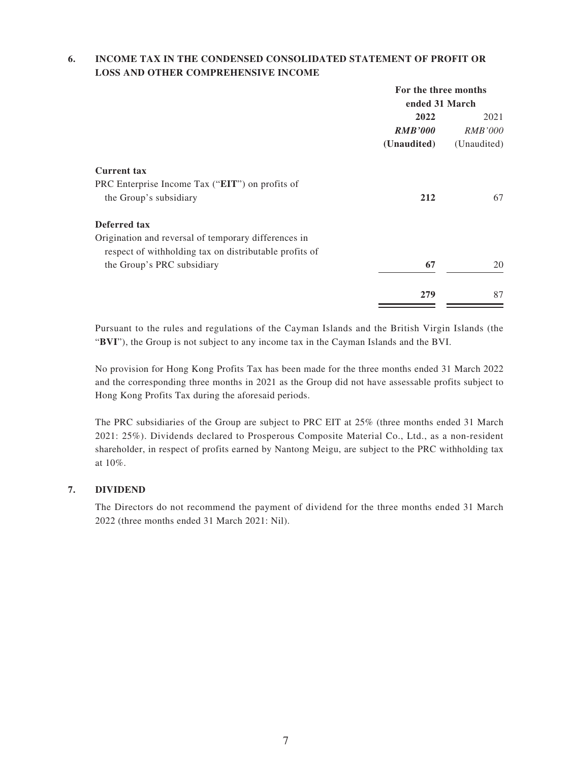#### **6. INCOME TAX IN THE CONDENSED CONSOLIDATED STATEMENT OF PROFIT OR LOSS AND OTHER COMPREHENSIVE INCOME**

|                                                        | For the three months |                |  |
|--------------------------------------------------------|----------------------|----------------|--|
|                                                        | ended 31 March       |                |  |
|                                                        | 2022                 | 2021           |  |
|                                                        | <b>RMB'000</b>       | <i>RMB'000</i> |  |
|                                                        | (Unaudited)          | (Unaudited)    |  |
| <b>Current tax</b>                                     |                      |                |  |
| PRC Enterprise Income Tax ("EIT") on profits of        |                      |                |  |
| the Group's subsidiary                                 | 212                  | 67             |  |
| Deferred tax                                           |                      |                |  |
| Origination and reversal of temporary differences in   |                      |                |  |
| respect of withholding tax on distributable profits of |                      |                |  |
| the Group's PRC subsidiary                             | 67                   | 20             |  |
|                                                        | 279                  | 87             |  |
|                                                        |                      |                |  |

Pursuant to the rules and regulations of the Cayman Islands and the British Virgin Islands (the "**BVI**"), the Group is not subject to any income tax in the Cayman Islands and the BVI.

No provision for Hong Kong Profits Tax has been made for the three months ended 31 March 2022 and the corresponding three months in 2021 as the Group did not have assessable profits subject to Hong Kong Profits Tax during the aforesaid periods.

The PRC subsidiaries of the Group are subject to PRC EIT at 25% (three months ended 31 March 2021: 25%). Dividends declared to Prosperous Composite Material Co., Ltd., as a non-resident shareholder, in respect of profits earned by Nantong Meigu, are subject to the PRC withholding tax at 10%.

#### **7. DIVIDEND**

The Directors do not recommend the payment of dividend for the three months ended 31 March 2022 (three months ended 31 March 2021: Nil).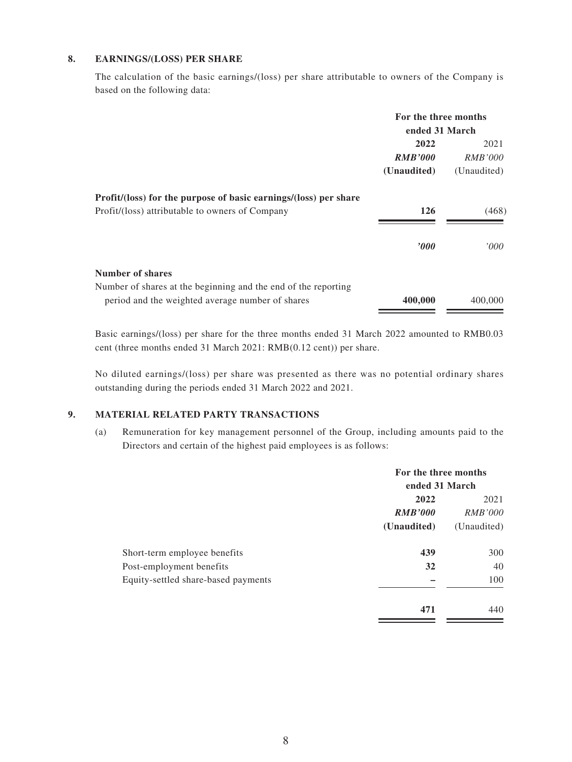#### **8. EARNINGS/(LOSS) PER SHARE**

The calculation of the basic earnings/(loss) per share attributable to owners of the Company is based on the following data:

|                                                                  | For the three months |                |  |
|------------------------------------------------------------------|----------------------|----------------|--|
|                                                                  | ended 31 March       |                |  |
|                                                                  | 2022                 | 2021           |  |
|                                                                  | <b>RMB'000</b>       | <i>RMB'000</i> |  |
|                                                                  | (Unaudited)          | (Unaudited)    |  |
| Profit/(loss) for the purpose of basic earnings/(loss) per share |                      |                |  |
| Profit/(loss) attributable to owners of Company                  | 126                  | (468)          |  |
|                                                                  | $\bm{v}$             | '000           |  |
| Number of shares                                                 |                      |                |  |
| Number of shares at the beginning and the end of the reporting   |                      |                |  |
| period and the weighted average number of shares                 | 400,000              | 400,000        |  |

Basic earnings/(loss) per share for the three months ended 31 March 2022 amounted to RMB0.03 cent (three months ended 31 March 2021: RMB(0.12 cent)) per share.

No diluted earnings/(loss) per share was presented as there was no potential ordinary shares outstanding during the periods ended 31 March 2022 and 2021.

#### **9. MATERIAL RELATED PARTY TRANSACTIONS**

(a) Remuneration for key management personnel of the Group, including amounts paid to the Directors and certain of the highest paid employees is as follows:

|                                     | For the three months |                |  |
|-------------------------------------|----------------------|----------------|--|
|                                     | ended 31 March       |                |  |
|                                     | 2022                 |                |  |
|                                     | <b>RMB'000</b>       | <i>RMB'000</i> |  |
|                                     | (Unaudited)          | (Unaudited)    |  |
| Short-term employee benefits        | 439                  | 300            |  |
| Post-employment benefits            | 32                   | 40             |  |
| Equity-settled share-based payments |                      | 100            |  |
|                                     | 471                  | 440            |  |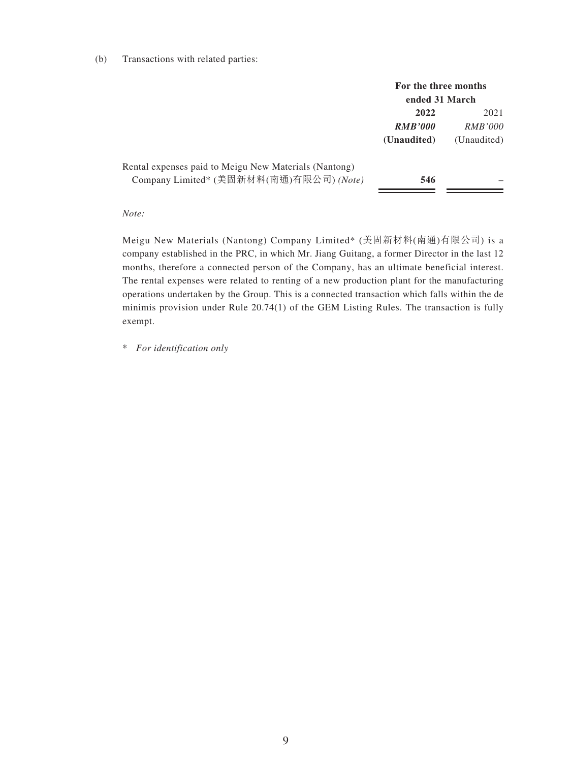#### (b) Transactions with related parties:

|                                                                                                  | For the three months<br>ended 31 March |                                       |  |
|--------------------------------------------------------------------------------------------------|----------------------------------------|---------------------------------------|--|
|                                                                                                  | 2022<br><b>RMB'000</b><br>(Unaudited)  | 2021<br><i>RMB'000</i><br>(Unaudited) |  |
| Rental expenses paid to Meigu New Materials (Nantong)<br>Company Limited* (美固新材料(南通)有限公司) (Note) | 546                                    |                                       |  |

#### *Note:*

Meigu New Materials (Nantong) Company Limited\* (美固新材料(南通)有限公司) is a company established in the PRC, in which Mr. Jiang Guitang, a former Director in the last 12 months, therefore a connected person of the Company, has an ultimate beneficial interest. The rental expenses were related to renting of a new production plant for the manufacturing operations undertaken by the Group. This is a connected transaction which falls within the de minimis provision under Rule 20.74(1) of the GEM Listing Rules. The transaction is fully exempt.

\* *For identification only*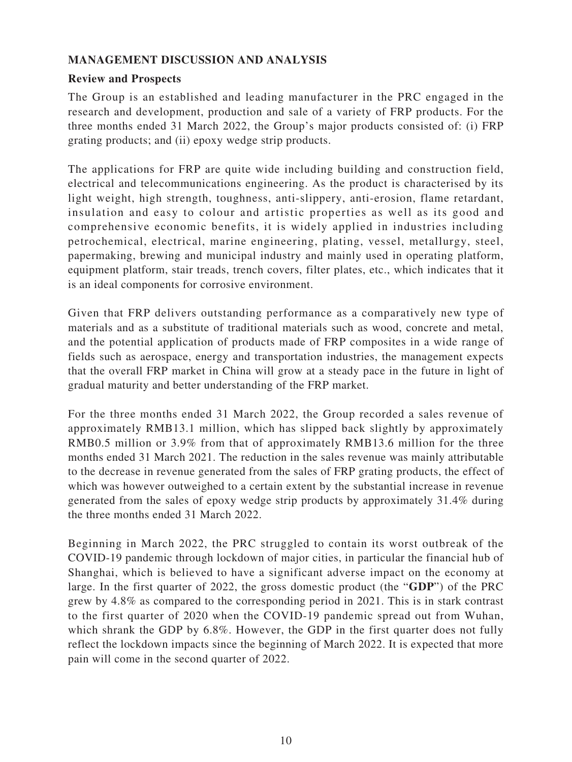### **MANAGEMENT DISCUSSION AND ANALYSIS**

#### **Review and Prospects**

The Group is an established and leading manufacturer in the PRC engaged in the research and development, production and sale of a variety of FRP products. For the three months ended 31 March 2022, the Group's major products consisted of: (i) FRP grating products; and (ii) epoxy wedge strip products.

The applications for FRP are quite wide including building and construction field, electrical and telecommunications engineering. As the product is characterised by its light weight, high strength, toughness, anti-slippery, anti-erosion, flame retardant, insulation and easy to colour and artistic properties as well as its good and comprehensive economic benefits, it is widely applied in industries including petrochemical, electrical, marine engineering, plating, vessel, metallurgy, steel, papermaking, brewing and municipal industry and mainly used in operating platform, equipment platform, stair treads, trench covers, filter plates, etc., which indicates that it is an ideal components for corrosive environment.

Given that FRP delivers outstanding performance as a comparatively new type of materials and as a substitute of traditional materials such as wood, concrete and metal, and the potential application of products made of FRP composites in a wide range of fields such as aerospace, energy and transportation industries, the management expects that the overall FRP market in China will grow at a steady pace in the future in light of gradual maturity and better understanding of the FRP market.

For the three months ended 31 March 2022, the Group recorded a sales revenue of approximately RMB13.1 million, which has slipped back slightly by approximately RMB0.5 million or 3.9% from that of approximately RMB13.6 million for the three months ended 31 March 2021. The reduction in the sales revenue was mainly attributable to the decrease in revenue generated from the sales of FRP grating products, the effect of which was however outweighed to a certain extent by the substantial increase in revenue generated from the sales of epoxy wedge strip products by approximately 31.4% during the three months ended 31 March 2022.

Beginning in March 2022, the PRC struggled to contain its worst outbreak of the COVID-19 pandemic through lockdown of major cities, in particular the financial hub of Shanghai, which is believed to have a significant adverse impact on the economy at large. In the first quarter of 2022, the gross domestic product (the "**GDP**") of the PRC grew by 4.8% as compared to the corresponding period in 2021. This is in stark contrast to the first quarter of 2020 when the COVID-19 pandemic spread out from Wuhan, which shrank the GDP by 6.8%. However, the GDP in the first quarter does not fully reflect the lockdown impacts since the beginning of March 2022. It is expected that more pain will come in the second quarter of 2022.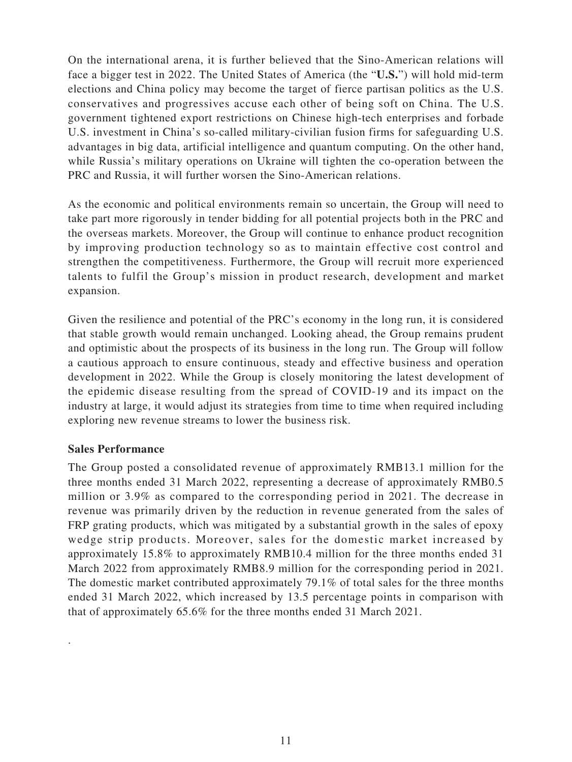On the international arena, it is further believed that the Sino-American relations will face a bigger test in 2022. The United States of America (the "**U.S.**") will hold mid-term elections and China policy may become the target of fierce partisan politics as the U.S. conservatives and progressives accuse each other of being soft on China. The U.S. government tightened export restrictions on Chinese high-tech enterprises and forbade U.S. investment in China's so-called military-civilian fusion firms for safeguarding U.S. advantages in big data, artificial intelligence and quantum computing. On the other hand, while Russia's military operations on Ukraine will tighten the co-operation between the PRC and Russia, it will further worsen the Sino-American relations.

As the economic and political environments remain so uncertain, the Group will need to take part more rigorously in tender bidding for all potential projects both in the PRC and the overseas markets. Moreover, the Group will continue to enhance product recognition by improving production technology so as to maintain effective cost control and strengthen the competitiveness. Furthermore, the Group will recruit more experienced talents to fulfil the Group's mission in product research, development and market expansion.

Given the resilience and potential of the PRC's economy in the long run, it is considered that stable growth would remain unchanged. Looking ahead, the Group remains prudent and optimistic about the prospects of its business in the long run. The Group will follow a cautious approach to ensure continuous, steady and effective business and operation development in 2022. While the Group is closely monitoring the latest development of the epidemic disease resulting from the spread of COVID-19 and its impact on the industry at large, it would adjust its strategies from time to time when required including exploring new revenue streams to lower the business risk.

#### **Sales Performance**

.

The Group posted a consolidated revenue of approximately RMB13.1 million for the three months ended 31 March 2022, representing a decrease of approximately RMB0.5 million or 3.9% as compared to the corresponding period in 2021. The decrease in revenue was primarily driven by the reduction in revenue generated from the sales of FRP grating products, which was mitigated by a substantial growth in the sales of epoxy wedge strip products. Moreover, sales for the domestic market increased by approximately 15.8% to approximately RMB10.4 million for the three months ended 31 March 2022 from approximately RMB8.9 million for the corresponding period in 2021. The domestic market contributed approximately 79.1% of total sales for the three months ended 31 March 2022, which increased by 13.5 percentage points in comparison with that of approximately 65.6% for the three months ended 31 March 2021.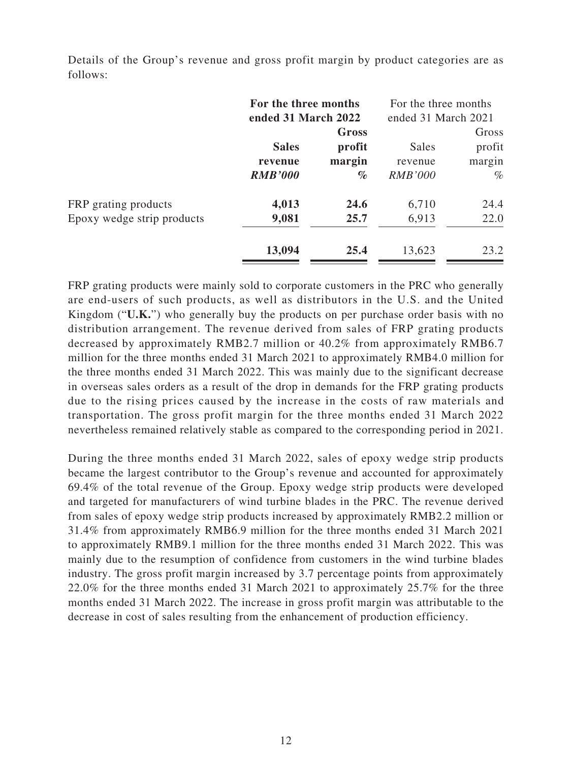|                            | For the three months<br>ended 31 March 2022 |        | For the three months<br>ended 31 March 2021 |        |
|----------------------------|---------------------------------------------|--------|---------------------------------------------|--------|
|                            |                                             | Gross  |                                             | Gross  |
|                            | <b>Sales</b>                                | profit | <b>Sales</b>                                | profit |
|                            | revenue                                     | margin | revenue                                     | margin |
|                            | <b>RMB'000</b>                              | $\%$   | <b>RMB'000</b>                              | $\%$   |
| FRP grating products       | 4,013                                       | 24.6   | 6,710                                       | 24.4   |
| Epoxy wedge strip products | 9,081                                       | 25.7   | 6,913                                       | 22.0   |
|                            | 13,094                                      | 25.4   | 13,623                                      | 23.2   |

Details of the Group's revenue and gross profit margin by product categories are as follows:

FRP grating products were mainly sold to corporate customers in the PRC who generally are end-users of such products, as well as distributors in the U.S. and the United Kingdom ("**U.K.**") who generally buy the products on per purchase order basis with no distribution arrangement. The revenue derived from sales of FRP grating products decreased by approximately RMB2.7 million or 40.2% from approximately RMB6.7 million for the three months ended 31 March 2021 to approximately RMB4.0 million for the three months ended 31 March 2022. This was mainly due to the significant decrease in overseas sales orders as a result of the drop in demands for the FRP grating products due to the rising prices caused by the increase in the costs of raw materials and transportation. The gross profit margin for the three months ended 31 March 2022 nevertheless remained relatively stable as compared to the corresponding period in 2021.

During the three months ended 31 March 2022, sales of epoxy wedge strip products became the largest contributor to the Group's revenue and accounted for approximately 69.4% of the total revenue of the Group. Epoxy wedge strip products were developed and targeted for manufacturers of wind turbine blades in the PRC. The revenue derived from sales of epoxy wedge strip products increased by approximately RMB2.2 million or 31.4% from approximately RMB6.9 million for the three months ended 31 March 2021 to approximately RMB9.1 million for the three months ended 31 March 2022. This was mainly due to the resumption of confidence from customers in the wind turbine blades industry. The gross profit margin increased by 3.7 percentage points from approximately 22.0% for the three months ended 31 March 2021 to approximately 25.7% for the three months ended 31 March 2022. The increase in gross profit margin was attributable to the decrease in cost of sales resulting from the enhancement of production efficiency.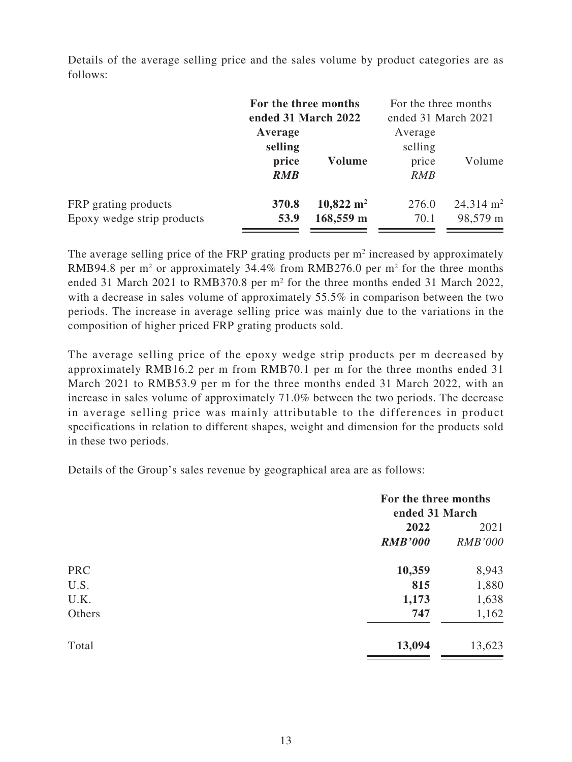Details of the average selling price and the sales volume by product categories are as follows:

|                                                    | For the three months<br>ended 31 March 2022 |                                       | For the three months<br>ended 31 March 2021 |                                  |  |
|----------------------------------------------------|---------------------------------------------|---------------------------------------|---------------------------------------------|----------------------------------|--|
|                                                    | Average<br>selling<br>price<br><b>RMB</b>   | Volume                                | Average<br>selling<br>price<br>RMB          | Volume                           |  |
| FRP grating products<br>Epoxy wedge strip products | 370.8<br>53.9                               | $10,822 \; \mathrm{m}^2$<br>168,559 m | 276.0<br>70.1                               | $24,314 \text{ m}^2$<br>98,579 m |  |

The average selling price of the FRP grating products per  $m<sup>2</sup>$  increased by approximately RMB94.8 per  $m<sup>2</sup>$  or approximately 34.4% from RMB276.0 per  $m<sup>2</sup>$  for the three months ended 31 March 2021 to RMB370.8 per  $m<sup>2</sup>$  for the three months ended 31 March 2022, with a decrease in sales volume of approximately 55.5% in comparison between the two periods. The increase in average selling price was mainly due to the variations in the composition of higher priced FRP grating products sold.

The average selling price of the epoxy wedge strip products per m decreased by approximately RMB16.2 per m from RMB70.1 per m for the three months ended 31 March 2021 to RMB53.9 per m for the three months ended 31 March 2022, with an increase in sales volume of approximately 71.0% between the two periods. The decrease in average selling price was mainly attributable to the differences in product specifications in relation to different shapes, weight and dimension for the products sold in these two periods.

Details of the Group's sales revenue by geographical area are as follows:

| For the three months<br>ended 31 March |                |
|----------------------------------------|----------------|
| 2022                                   | 2021           |
| <b>RMB'000</b>                         | <b>RMB'000</b> |
| 10,359                                 | 8,943          |
| 815                                    | 1,880          |
| 1,173                                  | 1,638          |
| 747                                    | 1,162          |
| 13,094                                 | 13,623         |
|                                        |                |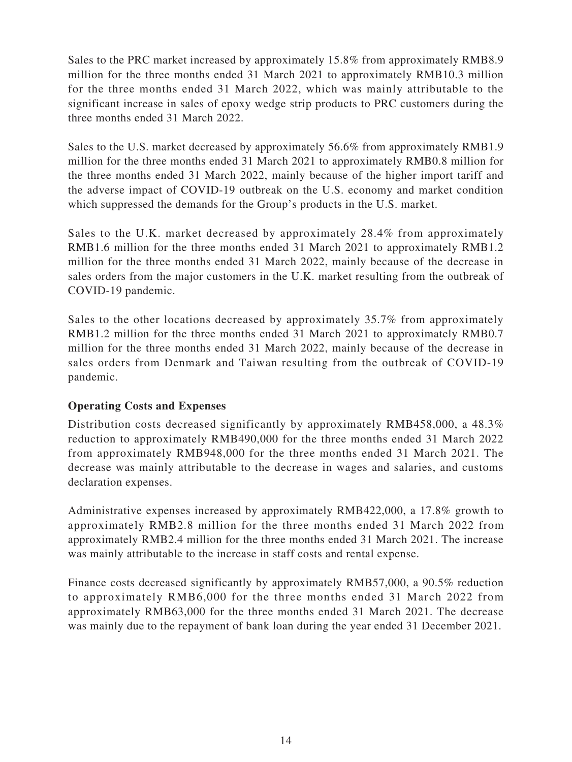Sales to the PRC market increased by approximately 15.8% from approximately RMB8.9 million for the three months ended 31 March 2021 to approximately RMB10.3 million for the three months ended 31 March 2022, which was mainly attributable to the significant increase in sales of epoxy wedge strip products to PRC customers during the three months ended 31 March 2022.

Sales to the U.S. market decreased by approximately 56.6% from approximately RMB1.9 million for the three months ended 31 March 2021 to approximately RMB0.8 million for the three months ended 31 March 2022, mainly because of the higher import tariff and the adverse impact of COVID-19 outbreak on the U.S. economy and market condition which suppressed the demands for the Group's products in the U.S. market.

Sales to the U.K. market decreased by approximately 28.4% from approximately RMB1.6 million for the three months ended 31 March 2021 to approximately RMB1.2 million for the three months ended 31 March 2022, mainly because of the decrease in sales orders from the major customers in the U.K. market resulting from the outbreak of COVID-19 pandemic.

Sales to the other locations decreased by approximately 35.7% from approximately RMB1.2 million for the three months ended 31 March 2021 to approximately RMB0.7 million for the three months ended 31 March 2022, mainly because of the decrease in sales orders from Denmark and Taiwan resulting from the outbreak of COVID-19 pandemic.

### **Operating Costs and Expenses**

Distribution costs decreased significantly by approximately RMB458,000, a 48.3% reduction to approximately RMB490,000 for the three months ended 31 March 2022 from approximately RMB948,000 for the three months ended 31 March 2021. The decrease was mainly attributable to the decrease in wages and salaries, and customs declaration expenses.

Administrative expenses increased by approximately RMB422,000, a 17.8% growth to approximately RMB2.8 million for the three months ended 31 March 2022 from approximately RMB2.4 million for the three months ended 31 March 2021. The increase was mainly attributable to the increase in staff costs and rental expense.

Finance costs decreased significantly by approximately RMB57,000, a 90.5% reduction to approximately RMB6,000 for the three months ended 31 March 2022 from approximately RMB63,000 for the three months ended 31 March 2021. The decrease was mainly due to the repayment of bank loan during the year ended 31 December 2021.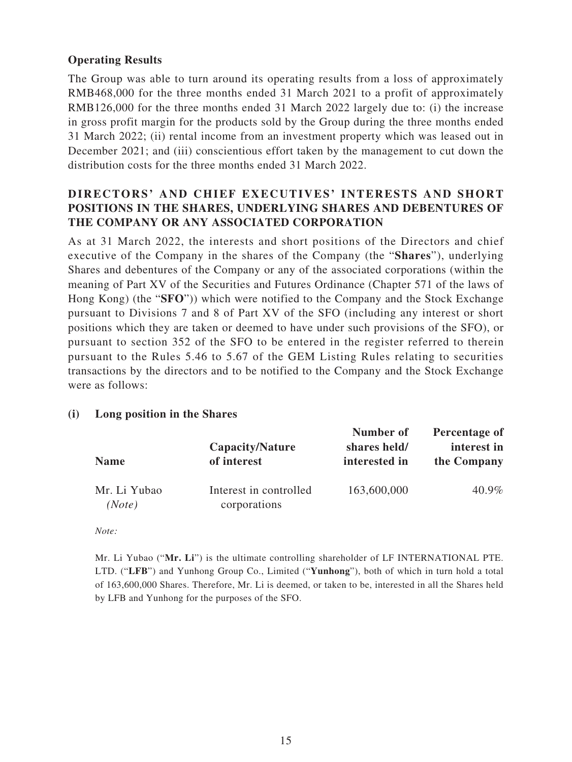### **Operating Results**

The Group was able to turn around its operating results from a loss of approximately RMB468,000 for the three months ended 31 March 2021 to a profit of approximately RMB126,000 for the three months ended 31 March 2022 largely due to: (i) the increase in gross profit margin for the products sold by the Group during the three months ended 31 March 2022; (ii) rental income from an investment property which was leased out in December 2021; and (iii) conscientious effort taken by the management to cut down the distribution costs for the three months ended 31 March 2022.

### **DIRECTORS' AND CHIEF EXECUTIVES' INTERESTS AND SHORT POSITIONS IN THE SHARES, UNDERLYING SHARES AND DEBENTURES OF THE COMPANY OR ANY ASSOCIATED CORPORATION**

As at 31 March 2022, the interests and short positions of the Directors and chief executive of the Company in the shares of the Company (the "**Shares**"), underlying Shares and debentures of the Company or any of the associated corporations (within the meaning of Part XV of the Securities and Futures Ordinance (Chapter 571 of the laws of Hong Kong) (the "**SFO**")) which were notified to the Company and the Stock Exchange pursuant to Divisions 7 and 8 of Part XV of the SFO (including any interest or short positions which they are taken or deemed to have under such provisions of the SFO), or pursuant to section 352 of the SFO to be entered in the register referred to therein pursuant to the Rules 5.46 to 5.67 of the GEM Listing Rules relating to securities transactions by the directors and to be notified to the Company and the Stock Exchange were as follows:

#### **(i) Long position in the Shares**

| <b>Name</b>            |                                        | Number of                     | Percentage of              |
|------------------------|----------------------------------------|-------------------------------|----------------------------|
|                        | Capacity/Nature<br>of interest         | shares held/<br>interested in | interest in<br>the Company |
| Mr. Li Yubao<br>(Note) | Interest in controlled<br>corporations | 163,600,000                   | 40.9%                      |

*Note:*

Mr. Li Yubao ("**Mr. Li**") is the ultimate controlling shareholder of LF INTERNATIONAL PTE. LTD. ("**LFB**") and Yunhong Group Co., Limited ("**Yunhong**"), both of which in turn hold a total of 163,600,000 Shares. Therefore, Mr. Li is deemed, or taken to be, interested in all the Shares held by LFB and Yunhong for the purposes of the SFO.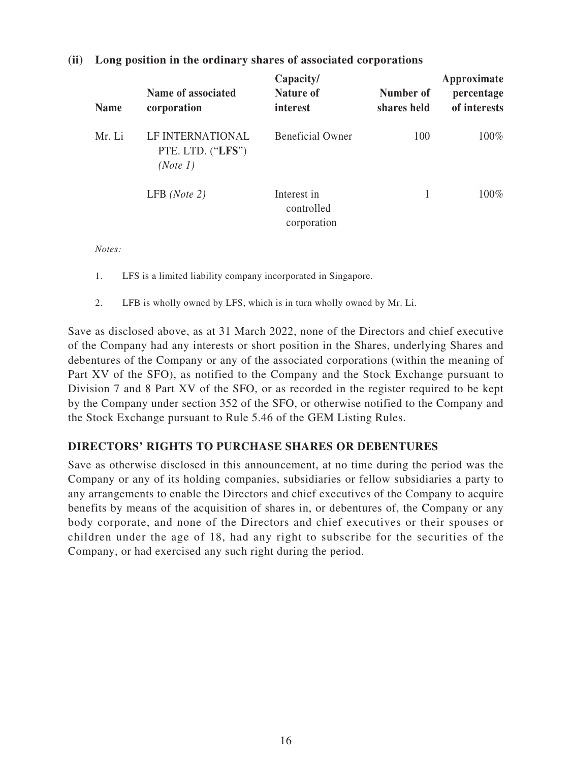| <b>Name</b> | Name of associated<br>corporation                 | Capacity/<br>Nature of<br>interest       | Number of<br>shares held | Approximate<br>percentage<br>of interests |
|-------------|---------------------------------------------------|------------------------------------------|--------------------------|-------------------------------------------|
| Mr. Li      | LF INTERNATIONAL<br>PTE. LTD. ("LFS")<br>(Note 1) | <b>Beneficial Owner</b>                  | 100                      | $100\%$                                   |
|             | $LFB$ ( <i>Note 2</i> )                           | Interest in<br>controlled<br>corporation |                          | $100\%$                                   |

### **(ii) Long position in the ordinary shares of associated corporations**

*Notes:*

- 1. LFS is a limited liability company incorporated in Singapore.
- 2. LFB is wholly owned by LFS, which is in turn wholly owned by Mr. Li.

Save as disclosed above, as at 31 March 2022, none of the Directors and chief executive of the Company had any interests or short position in the Shares, underlying Shares and debentures of the Company or any of the associated corporations (within the meaning of Part XV of the SFO), as notified to the Company and the Stock Exchange pursuant to Division 7 and 8 Part XV of the SFO, or as recorded in the register required to be kept by the Company under section 352 of the SFO, or otherwise notified to the Company and the Stock Exchange pursuant to Rule 5.46 of the GEM Listing Rules.

#### **DIRECTORS' RIGHTS TO PURCHASE SHARES OR DEBENTURES**

Save as otherwise disclosed in this announcement, at no time during the period was the Company or any of its holding companies, subsidiaries or fellow subsidiaries a party to any arrangements to enable the Directors and chief executives of the Company to acquire benefits by means of the acquisition of shares in, or debentures of, the Company or any body corporate, and none of the Directors and chief executives or their spouses or children under the age of 18, had any right to subscribe for the securities of the Company, or had exercised any such right during the period.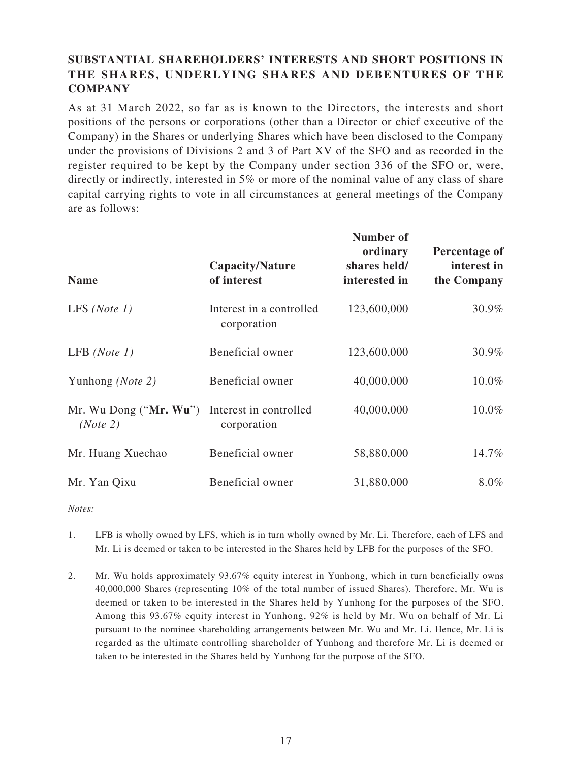### **SUBSTANTIAL SHAREHOLDERS' INTERESTS AND SHORT POSITIONS IN THE SHARES, UNDERLYING SHARES AND DEBENTURES OF THE COMPANY**

As at 31 March 2022, so far as is known to the Directors, the interests and short positions of the persons or corporations (other than a Director or chief executive of the Company) in the Shares or underlying Shares which have been disclosed to the Company under the provisions of Divisions 2 and 3 of Part XV of the SFO and as recorded in the register required to be kept by the Company under section 336 of the SFO or, were, directly or indirectly, interested in 5% or more of the nominal value of any class of share capital carrying rights to vote in all circumstances at general meetings of the Company are as follows:

| <b>Name</b>                            | Capacity/Nature<br>of interest          | Number of<br>ordinary<br>shares held/<br>interested in | Percentage of<br>interest in<br>the Company |
|----------------------------------------|-----------------------------------------|--------------------------------------------------------|---------------------------------------------|
| LFS ( <i>Note 1</i> )                  | Interest in a controlled<br>corporation | 123,600,000                                            | 30.9%                                       |
| LFB $(Note 1)$                         | Beneficial owner                        | 123,600,000                                            | 30.9%                                       |
| Yunhong (Note 2)                       | Beneficial owner                        | 40,000,000                                             | 10.0%                                       |
| Mr. Wu Dong (" $Mr. Wu$ ")<br>(Note 2) | Interest in controlled<br>corporation   | 40,000,000                                             | 10.0%                                       |
| Mr. Huang Xuechao                      | Beneficial owner                        | 58,880,000                                             | 14.7%                                       |
| Mr. Yan Qixu                           | Beneficial owner                        | 31,880,000                                             | 8.0%                                        |

*Notes:*

- 1. LFB is wholly owned by LFS, which is in turn wholly owned by Mr. Li. Therefore, each of LFS and Mr. Li is deemed or taken to be interested in the Shares held by LFB for the purposes of the SFO.
- 2. Mr. Wu holds approximately 93.67% equity interest in Yunhong, which in turn beneficially owns 40,000,000 Shares (representing 10% of the total number of issued Shares). Therefore, Mr. Wu is deemed or taken to be interested in the Shares held by Yunhong for the purposes of the SFO. Among this 93.67% equity interest in Yunhong, 92% is held by Mr. Wu on behalf of Mr. Li pursuant to the nominee shareholding arrangements between Mr. Wu and Mr. Li. Hence, Mr. Li is regarded as the ultimate controlling shareholder of Yunhong and therefore Mr. Li is deemed or taken to be interested in the Shares held by Yunhong for the purpose of the SFO.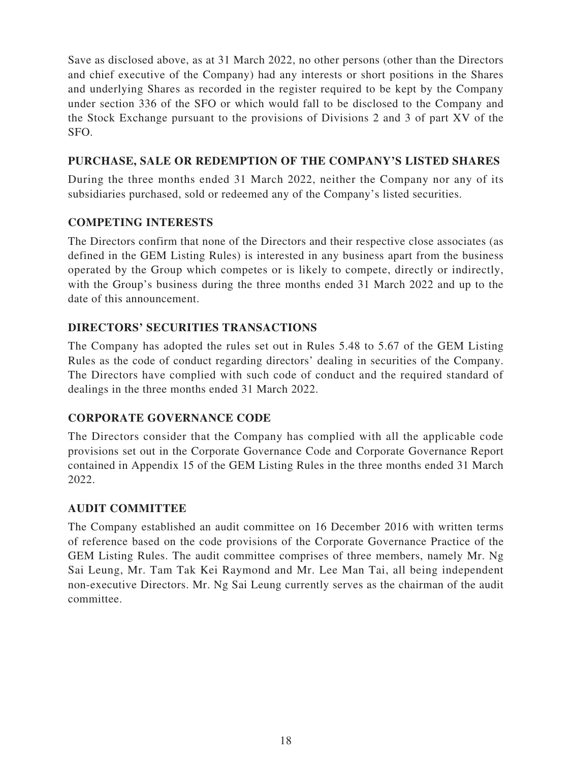Save as disclosed above, as at 31 March 2022, no other persons (other than the Directors and chief executive of the Company) had any interests or short positions in the Shares and underlying Shares as recorded in the register required to be kept by the Company under section 336 of the SFO or which would fall to be disclosed to the Company and the Stock Exchange pursuant to the provisions of Divisions 2 and 3 of part XV of the SFO.

### **PURCHASE, SALE OR REDEMPTION OF THE COMPANY'S LISTED SHARES**

During the three months ended 31 March 2022, neither the Company nor any of its subsidiaries purchased, sold or redeemed any of the Company's listed securities.

### **COMPETING INTERESTS**

The Directors confirm that none of the Directors and their respective close associates (as defined in the GEM Listing Rules) is interested in any business apart from the business operated by the Group which competes or is likely to compete, directly or indirectly, with the Group's business during the three months ended 31 March 2022 and up to the date of this announcement.

### **DIRECTORS' SECURITIES TRANSACTIONS**

The Company has adopted the rules set out in Rules 5.48 to 5.67 of the GEM Listing Rules as the code of conduct regarding directors' dealing in securities of the Company. The Directors have complied with such code of conduct and the required standard of dealings in the three months ended 31 March 2022.

### **CORPORATE GOVERNANCE CODE**

The Directors consider that the Company has complied with all the applicable code provisions set out in the Corporate Governance Code and Corporate Governance Report contained in Appendix 15 of the GEM Listing Rules in the three months ended 31 March 2022.

### **AUDIT COMMITTEE**

The Company established an audit committee on 16 December 2016 with written terms of reference based on the code provisions of the Corporate Governance Practice of the GEM Listing Rules. The audit committee comprises of three members, namely Mr. Ng Sai Leung, Mr. Tam Tak Kei Raymond and Mr. Lee Man Tai, all being independent non-executive Directors. Mr. Ng Sai Leung currently serves as the chairman of the audit committee.